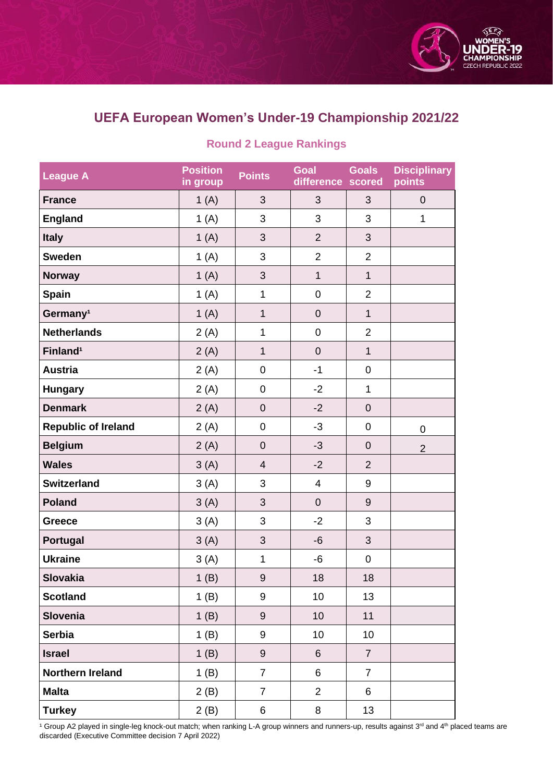

## **UEFA European Women's Under-19 Championship 2021/22**

| League A                   | <b>Position</b><br>in group | <b>Points</b>    | <b>Goal</b><br>difference | <b>Goals</b><br>scored | <b>Disciplinary</b><br>points |
|----------------------------|-----------------------------|------------------|---------------------------|------------------------|-------------------------------|
| <b>France</b>              | 1(A)                        | 3                | 3                         | 3                      | $\boldsymbol{0}$              |
| <b>England</b>             | 1(A)                        | 3                | 3                         | 3                      | 1                             |
| <b>Italy</b>               | 1(A)                        | 3                | $\overline{2}$            | 3                      |                               |
| <b>Sweden</b>              | 1(A)                        | 3                | $\overline{2}$            | $\overline{2}$         |                               |
| <b>Norway</b>              | 1(A)                        | $\mathfrak{S}$   | $\mathbf 1$               | $\mathbf{1}$           |                               |
| <b>Spain</b>               | 1(A)                        | $\mathbf{1}$     | $\boldsymbol{0}$          | $\overline{2}$         |                               |
| Germany <sup>1</sup>       | 1(A)                        | $\mathbf 1$      | $\mathbf 0$               | $\mathbf{1}$           |                               |
| <b>Netherlands</b>         | 2(A)                        | $\mathbf 1$      | $\mathsf 0$               | $\overline{2}$         |                               |
| Finland <sup>1</sup>       | 2(A)                        | $\mathbf 1$      | $\mathbf 0$               | $\mathbf{1}$           |                               |
| <b>Austria</b>             | 2(A)                        | $\mathbf 0$      | $-1$                      | $\mathbf 0$            |                               |
| <b>Hungary</b>             | 2(A)                        | 0                | $-2$                      | 1                      |                               |
| <b>Denmark</b>             | 2(A)                        | $\mathbf 0$      | $-2$                      | $\mathbf 0$            |                               |
| <b>Republic of Ireland</b> | 2(A)                        | $\boldsymbol{0}$ | $-3$                      | $\boldsymbol{0}$       | $\overline{0}$                |
| <b>Belgium</b>             | 2(A)                        | $\boldsymbol{0}$ | $-3$                      | $\mathbf 0$            | $\overline{2}$                |
| <b>Wales</b>               | 3(A)                        | $\overline{4}$   | $-2$                      | $\overline{2}$         |                               |
| <b>Switzerland</b>         | 3(A)                        | 3                | 4                         | 9                      |                               |
| <b>Poland</b>              | 3(A)                        | $\mathfrak{S}$   | $\boldsymbol{0}$          | $9$                    |                               |
| Greece                     | 3(A)                        | 3                | $-2$                      | 3                      |                               |
| <b>Portugal</b>            | 3(A)                        | $\sqrt{3}$       | $-6$                      | 3                      |                               |
| <b>Ukraine</b>             | 3(A)                        | $\mathbf 1$      | $-6$                      | $\boldsymbol{0}$       |                               |
| Slovakia                   | 1(B)                        | 9                | 18                        | 18                     |                               |
| <b>Scotland</b>            | 1(B)                        | 9                | 10                        | 13                     |                               |
| <b>Slovenia</b>            | 1(B)                        | 9                | 10                        | 11                     |                               |
| <b>Serbia</b>              | 1(B)                        | 9                | 10                        | 10                     |                               |
| <b>Israel</b>              | 1(B)                        | $\boldsymbol{9}$ | 6                         | $\overline{7}$         |                               |
| <b>Northern Ireland</b>    | 1(B)                        | $\overline{7}$   | 6                         | $\overline{7}$         |                               |
| Malta                      | 2(B)                        | $\overline{7}$   | $\overline{2}$            | 6                      |                               |
| <b>Turkey</b>              | 2(B)                        | 6                | 8                         | 13                     |                               |

## **Round 2 League Rankings**

1 Group A2 played in single-leg knock-out match; when ranking L-A group winners and runners-up, results against 3<sup>rd</sup> and 4<sup>th</sup> placed teams are discarded (Executive Committee decision 7 April 2022)